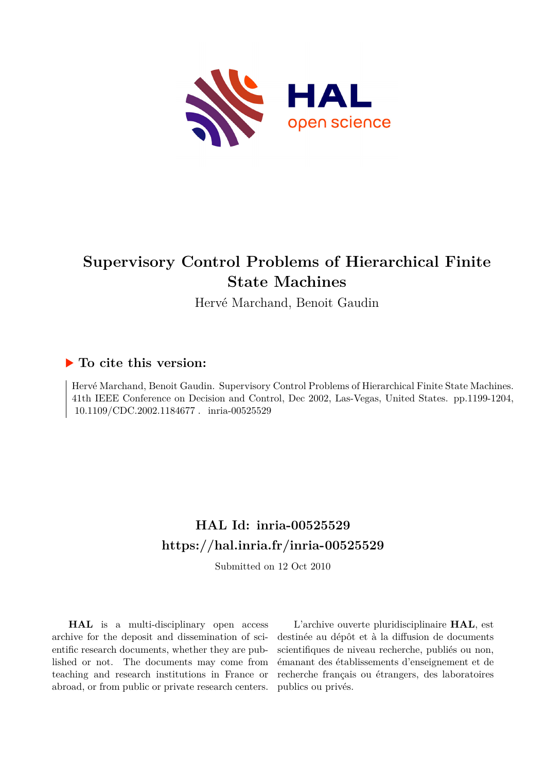

# **Supervisory Control Problems of Hierarchical Finite State Machines**

Hervé Marchand, Benoit Gaudin

## **To cite this version:**

Hervé Marchand, Benoit Gaudin. Supervisory Control Problems of Hierarchical Finite State Machines. 41th IEEE Conference on Decision and Control, Dec 2002, Las-Vegas, United States. pp.1199-1204,  $10.1109/CDC.2002.1184677$ . inria-00525529

## **HAL Id: inria-00525529 <https://hal.inria.fr/inria-00525529>**

Submitted on 12 Oct 2010

**HAL** is a multi-disciplinary open access archive for the deposit and dissemination of scientific research documents, whether they are published or not. The documents may come from teaching and research institutions in France or abroad, or from public or private research centers.

L'archive ouverte pluridisciplinaire **HAL**, est destinée au dépôt et à la diffusion de documents scientifiques de niveau recherche, publiés ou non, émanant des établissements d'enseignement et de recherche français ou étrangers, des laboratoires publics ou privés.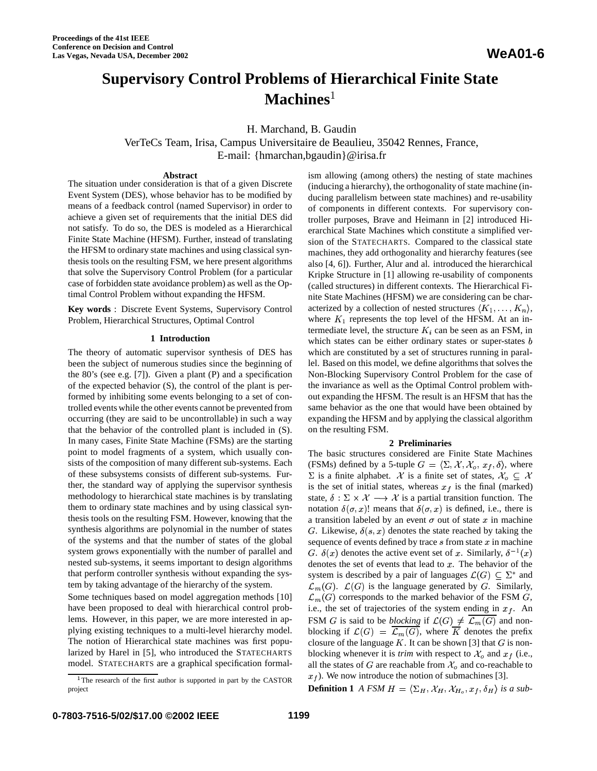## **Supervisory Control Problems of Hierarchical Finite State Machines**

H. Marchand, B. Gaudin

VerTeCs Team, Irisa, Campus Universitaire de Beaulieu, 35042 Rennes, France, E-mail: {hmarchan,bgaudin}@irisa.fr

#### **Abstract**

The situation under consideration is that of a given Discrete Event System (DES), whose behavior has to be modified by means of a feedback control (named Supervisor) in order to achieve a given set of requirements that the initial DES did not satisfy. To do so, the DES is modeled as a Hierarchical Finite State Machine (HFSM). Further, instead of translating the HFSM to ordinary state machines and using classical synthesis tools on the resulting FSM, we here present algorithms that solve the Supervisory Control Problem (for a particular case of forbidden state avoidance problem) as well as the Optimal Control Problem without expanding the HFSM.

**Key words** : Discrete Event Systems, Supervisory Control Problem, Hierarchical Structures, Optimal Control

### **1 Introduction**

The theory of automatic supervisor synthesis of DES has been the subject of numerous studies since the beginning of the 80's (see e.g. [7]). Given a plant (P) and a specification of the expected behavior (S), the control of the plant is performed by inhibiting some events belonging to a set of controlled events while the other events cannot be prevented from occurring (they are said to be uncontrollable) in such a way that the behavior of the controlled plant is included in (S). In many cases, Finite State Machine (FSMs) are the starting point to model fragments of a system, which usually consists of the composition of many different sub-systems. Each of these subsystems consists of different sub-systems. Further, the standard way of applying the supervisor synthesis methodology to hierarchical state machines is by translating them to ordinary state machines and by using classical synthesis tools on the resulting FSM. However, knowing that the synthesis algorithms are polynomial in the number of states of the systems and that the number of states of the global system grows exponentially with the number of parallel and nested sub-systems, it seems important to design algorithms that perform controller synthesis without expanding the system by taking advantage of the hierarchy of the system.

Some techniques based on model aggregation methods [10] have been proposed to deal with hierarchical control problems. However, in this paper, we are more interested in applying existing techniques to a multi-level hierarchy model. The notion of Hierarchical state machines was first popularized by Harel in [5], who introduced the STATECHARTS model. STATECHARTS are a graphical specification formalism allowing (among others) the nesting of state machines (inducing a hierarchy), the orthogonality of state machine (inducing parallelism between state machines) and re-usability of components in different contexts. For supervisory controller purposes, Brave and Heimann in [2] introduced Hierarchical State Machines which constitute a simplified version of the STATECHARTS. Compared to the classical state machines, they add orthogonality and hierarchy features (see also [4, 6]). Further, Alur and al. introduced the hierarchical Kripke Structure in [1] allowing re-usability of components (called structures) in different contexts. The Hierarchical Finite State Machines (HFSM) we are considering can be characterized by a collection of nested structures  $\langle K_1, \ldots, K_n \rangle$ , where  $K_1$  represents the top level of the HFSM. At an intermediate level, the structure  $K_i$  can be seen as an FSM, in which states can be either ordinary states or super-states  $b$ which are constituted by a set of structures running in parallel. Based on this model, we define algorithms that solves the Non-Blocking Supervisory Control Problem for the case of the invariance as well as the Optimal Control problem without expanding the HFSM. The result is an HFSM that has the same behavior as the one that would have been obtained by expanding the HFSM and by applying the classical algorithm on the resulting FSM.

### **2 Preliminaries**

The basic structures considered are Finite State Machines (FSMs) defined by a 5-tuple  $G = \langle \Sigma, \mathcal{X}, \mathcal{X}_o, x_f, \delta \rangle$ , where  $\Sigma$  is a finite alphabet.  $\mathcal X$  is a finite set of states,  $\mathcal X_o \subseteq \mathcal X$ is the set of initial states, whereas  $x_f$  is the final (marked) state,  $\delta : \Sigma \times \mathcal{X} \longrightarrow \mathcal{X}$  is a partial transition function. The notation  $\delta(\sigma, x)$ ! means that  $\delta(\sigma, x)$  is defined, i.e., there is a transition labeled by an event  $\sigma$  out of state x in machine G. Likewise,  $\delta(s, x)$  denotes the state reached by taking the sequence of events defined by trace  $s$  from state  $x$  in machine G.  $\delta(x)$  denotes the active event set of x. Similarly,  $\delta^{-1}(x)$ denotes the set of events that lead to  $x$ . The behavior of the system is described by a pair of languages  $\mathcal{L}(G) \subseteq \Sigma^*$  and  $\mathcal{L}_m(G)$ .  $\mathcal{L}(G)$  is the language generated by G. Similarly,  $\mathcal{L}_m(G)$  corresponds to the marked behavior of the FSM G, i.e., the set of trajectories of the system ending in  $x_f$ . An FSM *G* is said to be *blocking* if  $\mathcal{L}(G) \neq \overline{\mathcal{L}_m(G)}$  and nonblocking if  $\mathcal{L}(G) = \overline{\mathcal{L}_m(G)}$ , where  $\overline{K}$  denotes the prefix closure of the language  $K$ . It can be shown [3] that  $G$  is nonblocking whenever it is *trim* with respect to  $\mathcal{X}_o$  and  $x_f$  (i.e., all the states of G are reachable from  $\mathcal{X}_o$  and co-reachable to  $x<sub>f</sub>$ ). We now introduce the notion of submachines [3].

**Definition 1** A FSM  $H = \langle \Sigma_H, \mathcal{X}_H, \mathcal{X}_{H_o}, x_f, \delta_H \rangle$  is a sub-

<sup>&</sup>lt;sup>1</sup>The research of the first author is supported in part by the CASTOR project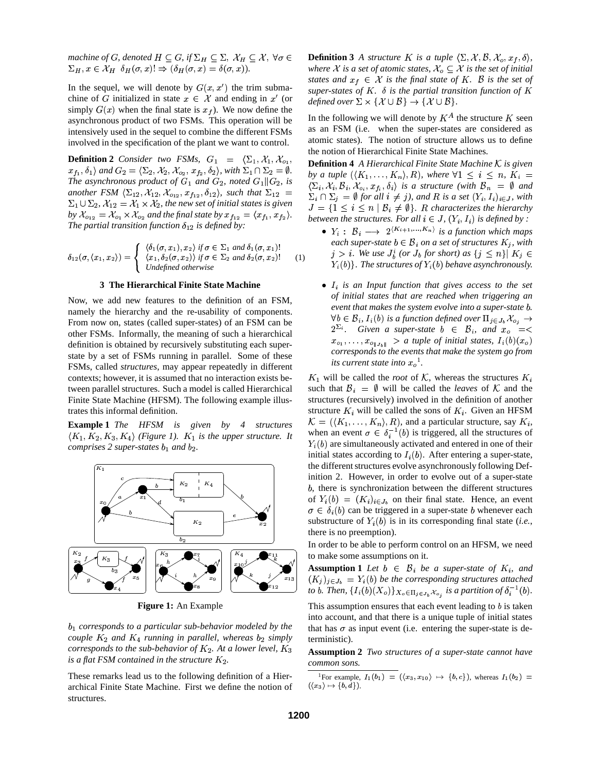*machine of G, denoted*  $H\subseteq G$ *, if*  $\Sigma_H\subseteq \Sigma, \ \mathcal{X}_H\subseteq \mathcal{X}, \ \forall \sigma\in\quad$  **Defini**t  $\mathcal{L}$  , and  $\mathcal{L}$  . The state  $\mathcal{L}$  and  $\mathcal{L}$  are the state of  $\mathcal{L}$  . The state of  $\mathcal{L}$ 

In the sequel, we will denote by  $G(x, x')$  the trim submachine of G initialized in state  $x \in \mathcal{X}$  and ending in  $x'$  (or simply  $G(x)$  when the final state is  $x_f$ ). We now define the asynchronous product of two FSMs. This operation will be intensively used in the sequel to combine the different FSMs involved in the specification of the plant we want to control.

**Definition 2** *Consider two FSMs,*  $G_1 = \langle \Sigma_1, \mathcal{X}_1, \mathcal{X}_{o_1}, \mathcal{X}_{o_2} \rangle$  $x_{f_1}, \delta_1$  and  $G_2 = \langle \Sigma_2, \mathcal{X}_2, \mathcal{X}_{o_2}, x_{f_2}, \delta_2 \rangle$ , with  $\Sigma_1 \cap \Sigma_2 = \emptyset$ . *The asynchronous product of*  $G_1$  *and*  $G_2$ *, noted*  $G_1 || G_2$ *, is* another FSM  $\langle \Sigma_{12}, \mathcal{X}_{12}, \mathcal{X}_{012}, x_{f_{12}}, \delta_{12} \rangle$ , such that  $\Sigma_{12} = \sum_{\Sigma, \cup \Omega} \sum_{\Sigma, \cup \square}$  $\Sigma_1 \cup \Sigma_2$ ,  $\mathcal{X}_{12} = \mathcal{X}_1 \times \mathcal{X}_2$ , the new set of initial states is given by  $\mathcal{X}_{012} = \mathcal{X}_{01} \times \mathcal{X}_{02}$  and the final state by  $x_{f_{12}} = \langle x_{f_1}, x_{f_2} \rangle$ . *The partial transition function*  $\delta_{12}$  *is defined by:* 

$$
\delta_{12}(\sigma,\langle x_1,x_2\rangle) = \begin{cases}\n\langle \delta_1(\sigma,x_1), x_2 \rangle & \text{if } \sigma \in \Sigma_1 \text{ and } \delta_1(\sigma,x_1)! \\
\langle x_1, \delta_2(\sigma,x_2) \rangle & \text{if } \sigma \in \Sigma_2 \text{ and } \delta_2(\sigma,x_2)! \\
\text{undefined otherwise}\n\end{cases} \tag{1}
$$

#### **3 The Hierarchical Finite State Machine**

Now, we add new features to the definition of an FSM, namely the hierarchy and the re-usability of components. From now on, states (called super-states) of an FSM can be other FSMs. Informally, the meaning of such a hierarchical definition is obtained by recursively substituting each superstate by a set of FSMs running in parallel. Some of these FSMs, called *structures*, may appear repeatedly in different contexts; however, it is assumed that no interaction exists between parallel structures. Such a model is called Hierarchical Finite State Machine (HFSM). The following example illustrates this informal definition.

**Example 1** *The HFSM is given by 4 structures*  $\langle K_1, K_2, K_3, K_4 \rangle$  (Figure 1).  $K_1$  is the upper structure. It *comprises* 2 super-states  $b_1$  and  $b_2$ .



**Figure 1:** An Example

 *corresponds to a particular sub-behavior modeled by the couple*  $K_2$  *and*  $K_4$  *running in parallel, whereas*  $b_2$  *simply corresponds to the sub-behavior of*  $K_2$ . At a lower level,  $K_3$ *is* a flat FSM contained in the structure  $K_2$ .

These remarks lead us to the following definition of a Hierarchical Finite State Machine. First we define the notion of structures.

**Definition 3** *A structure K is a tuple*  $\langle \Sigma, \mathcal{X}, \mathcal{B}, \mathcal{X}_o, x_f, \delta \rangle$ , *where*  $X$  *is a set of atomic states,*  $X_o \subseteq X$  *is the set of initial states* and  $x_f \in \mathcal{X}$  *is the final state of*  $K$ *.*  $\mathcal{B}$  *is the set of super-states* of  $K$ .  $\delta$  *is the partial transition function of*  $K$ *defined over*  $\Sigma \times \{X \cup B\} \rightarrow \{X \cup B\}$ .

In the following we will denote by  $K^A$  the structure K seen as an FSM (i.e. when the super-states are considered as atomic states). The notion of structure allows us to define the notion of Hierarchical Finite State Machines.

**Definition 4** *A Hierarchical Finite State Machine*  $K$  *is given by a tuple*  $(\langle K_1, \ldots, K_n \rangle, R)$ , *where*  $\forall 1 \leq i \leq n$ ,  $K_i =$  $\langle \Sigma_i, \mathcal{X}_i, \mathcal{B}_i, \mathcal{X}_{o_i}, x_{f_i}, \delta_i \rangle$  is a structure (with  $\mathcal{B}_n = \emptyset$  and  $\Sigma_i \cap \Sigma_j = \emptyset$  for all  $i \neq j$ , and R is a set  $(Y_i, I_i)_{i \in J}$ , with  $J = \{1 \leq i \leq n \mid \mathcal{B}_i \neq \emptyset\}$ . R characterizes the hierarchy *between the structures. For all*  $i \in J$ ,  $(Y_i, I_i)$  *is defined by :* 

- $Y_i : B_i \longrightarrow 2^{(K_{i+1},...,K_n)}$  is a function which maps  $\mathcal{C}$  *each super-state*  $b \in \mathcal{B}_i$  *on a set of structures*  $K_i$ *, with*  $j > i$ . We use  $J_b^i$  (or  $J_b$  for short) as  $\{j \leq n\}$   $K_j \in$  $Y_i(b)$ . The structures of  $Y_i(b)$  behave asynchronously.
- $\bullet$   $I_i$  *is an Input function that gives access to the set of initial states that are reached when triggering an event that makes the system evolve into a super-state .*  $\forall b \in \mathcal{B}_i$ ,  $I_i(b)$  is a function defined over  $\Pi_{j \in J_b} \mathcal{X}_{o_j} \to$  $2^{\sum_i}$ . Given a super-state  $b \in \mathcal{B}_i$ , and  $x_o = \langle \rangle$  $x_{o_1}, \ldots, x_{o_{\parallel J_1 \parallel}} > a$  *tuple of initial states,*  $I_i(b)(x_o)$ *corresponds to the events that make the system go from its* current state into  $x_o$ <sup>1</sup>.

 $K_1$  will be called the *root* of K, whereas the structures  $K_i$ such that  $\mathcal{B}_i = \emptyset$  will be called the *leaves* of K and the structures (recursively) involved in the definition of another structure  $K_i$  will be called the sons of  $K_i$ . Given an HFSM  $\mathcal{K} = (\langle K_1, \ldots, K_n \rangle, R)$ , and a particular structure, say  $K_i$ , when an event  $\sigma \in \delta_i^{-1}(b)$  is triggered, all the structures of  $Y_i(b)$  are simultaneously activated and entered in one of their initial states according to  $I_i(b)$ . After entering a super-state, the different structures evolve asynchronously following Definition 2. However, in order to evolve out of a super-state , there is synchronization between the different structures of  $Y_i(b) = (K_i)_{i \in J_b}$  on their final state. Hence, an event  $\sigma \in \delta_i(b)$  can be triggered in a super-state b whenever each substructure of  $Y_i(b)$  is in its corresponding final state (*i.e.*, there is no preemption).

In order to be able to perform control on an HFSM, we need to make some assumptions on it.

 $\begin{bmatrix} x_{13} \end{bmatrix}$   $(K_j)_{j \in J_b} = Y_i(b)$  be the corresponding structures attached **Assumption 1** Let  $b \in B_i$  be a super-state of  $K_i$ , and *to b*. Then,  $\{I_i(b)(X_o)\}_{X_o \in \Pi_{i \in J_i}}$ ,  $\chi_o$  is a partition of  $\delta_i^{-1}(b)$ .

> This assumption ensures that each event leading to  $b$  is taken into account, and that there is a unique tuple of initial states that has  $\sigma$  as input event (i.e. entering the super-state is deterministic).

> **Assumption 2** *Two structures of a super-state cannot have common sons.*

<sup>&</sup>lt;sup>1</sup>For example,  $I_1(b_1) = (\langle x_3, x_{10} \rangle \mapsto \{b, c\})$ , whereas  $I_1(b_2) =$  $(\langle x_3 \rangle \mapsto \{b, d\}).$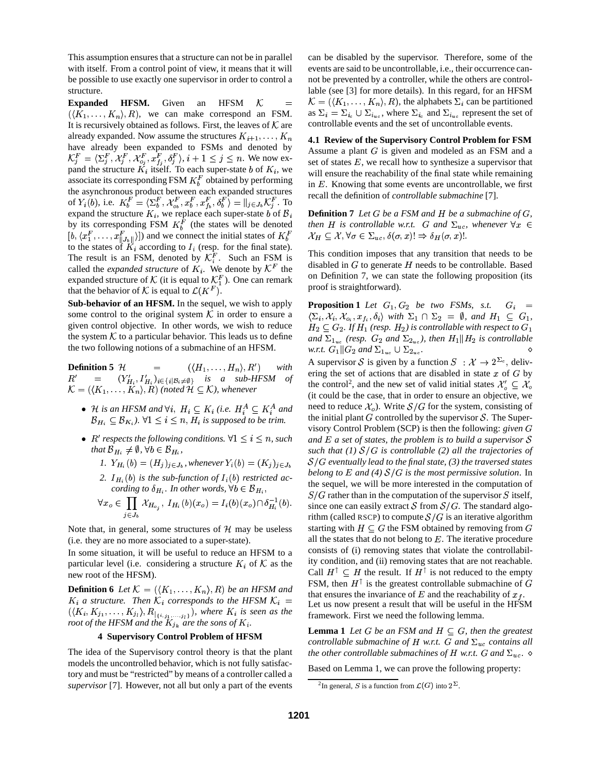This assumption ensures that a structure can not be in parallel with itself. From a control point of view, it means that it will be possible to use exactly one supervisor in order to control a structure.

**Expanded HFSM.** Given an **HFSM**  $K =$  $(\langle K_1,\ldots,K_n\rangle,R)$ , we can make correspond an FSM. It is recursively obtained as follows. First, the leaves of  $K$  are already expanded. Now assume the structures  $K_{i+1}, \ldots, K_n$ have already been expanded to FSMs and denoted by  $\cdots$  $\mathcal{F} = \langle \Sigma_{i}^{F}, \mathcal{X}_{i}^{F}, \mathcal{X}_{o}^{F}, x \rangle$  $F, \mathcal{X}_{i}^{F}, \mathcal{X}_{o}^{F}, x_{f}^{F}, \delta_{i}^{F}$ , i  $\mathcal{X}_{i}^{F}, \mathcal{X}_{i}^{F}, x_{i}^{F}, \delta_{i}^{F}$ ,  $i+1$ -  $\{f_i^F, x_{i}^F, \delta_i^F\}, i+1 \leq j \leq n$ . We now expand the structure  $K_i$  itself. To each super-state b of  $K_i$ , we associate its corresponding FSM  $K_b^F$  obtained by performing the asynchronous product between each expanded structures of  $Y_i(b)$ , i.e.  $K_b^F = \langle \Sigma_b^F, \mathcal{X}_{a_k}^F, x_b^F, x_b^F \rangle$  $\{F_t, \mathcal{X}_{\alpha}^F, x_t^F, x_t^F, \delta_t^F\} =$  $\langle E, x_1^F, x_2^F, \delta_1^F \rangle = ||x_1, x_2^F, x_3^F$ . To  $\frac{F}{i}$ . To expand the structure  $K_i$ , we replace each super-state *b* of  $B_i$  | 1 by its corresponding FSM  $K_b^F$  (the states will be denoted  $[b, \langle x_1^F, \ldots, x_{\text{u},k}^F \rangle]$  and we connect the initial states of  $K_b^F$   $\mathcal{X}_H \subseteq \mathcal{X}, \forall \sigma$ to the states of  $K_i$  according to  $I_i$  (resp. for the final state). The result is an FSM, denoted by  $\mathcal{K}_i^F$ . Such an FSM is called the *expanded structure* of  $K_i$ . We denote by  $\mathcal{K}^F$  the disable expanded structure of K (it is equal to  $\mathcal{K}_1^F$ ). One can remark that the behavior of K is equal to  $\mathcal{L}(K^F)$ .

**Sub-behavior of an HFSM.** In the sequel, we wish to apply some control to the original system  $\mathcal K$  in order to ensure a given control objective. In other words, we wish to reduce the system  $K$  to a particular behavior. This leads us to define the two following notions of a submachine of an HFSM.

**Definition 5**  $H$  $\langle H_1,\ldots,H_n\rangle,R'\rangle$  with  $R'$  =  $(Y'_{H_i}, I'_{H_i})_{i \in \{i | \mathcal{B}_i \neq \emptyset\}}$  is a sub-HFSM of  $\mathcal{K} = (\langle K_1, \ldots, K_n \rangle, R)$  (noted  $\mathcal{H} \subseteq \mathcal{K}$ ), whenever

- $\bullet$  *H* is an HFSM and  $\forall i, H_i \subseteq K_i$  (i.e.  $H_i^A \subseteq K_i^A$  and  $\Box$ <sup>n</sup>  $\mathcal{B}_{H_i} \subseteq \mathcal{B}_{K_i}$ ).  $\forall 1 \leq i \leq n, H_i$  is supposed to be trim.
- $R'$  respects the following conditions.  $\forall 1 \leq i \leq n$ , such and that  $\mathcal{B}_{H_i} \neq \emptyset$ ,  $\forall b \in \mathcal{B}_{H_i}$ ,
	- *1.*  $Y_{H_i}(b) = (H_j)_{j \in J_b}$ , whenever  $Y_i(b) = (K_j)_{j \in J_b}$
	- 2.  $I_{H_i}(b)$  *is the sub-function of*  $I_i(b)$  *restricted according to*  $\delta_{H_i}$ *. In other words,*  $\forall b \in \mathcal{B}_{H_i}$ ,

$$
\forall x_o \in \prod_{j \in J_b} \mathcal{X}_{H_{o_j}}, \ I_{H_i}(b)(x_o) = I_i(b)(x_o) \cap \delta_{H_i}^{-1}(b). \quad \begin{array}{c} \text{S.} \\ \text{S.} \\ \text{S.} \end{array}
$$

Note that, in general, some structures of  $H$  may be useless (i.e. they are no more associated to a super-state).

In some situation, it will be useful to reduce an HFSM to a particular level (i.e. considering a structure  $K_i$  of  $K$  as the new root of the HFSM).

**Definition 6** Let  $\mathcal{K} = (\langle K_1, \ldots, K_n \rangle, R)$  be an HFSM and  $K_i$  *a structure. Then*  $K_i$  *corresponds to the HFSM*  $K_i$  =  $(\langle K_i, K_{j_1}, \ldots, K_{j_l} \rangle, R_{\langle i_1, i_2, \ldots, i_l \rangle})$ , where  $K_i$  is seen as the *root of* the HFSM and the  $K_{j_k}$  are the sons of  $K_i$ .

### **4 Supervisory Control Problem of HFSM**

The idea of the Supervisory control theory is that the plant models the uncontrolled behavior, which is not fully satisfactory and must be "restricted" by means of a controller called a *supervisor* [7]. However, not all but only a part of the events can be disabled by the supervisor. Therefore, some of the events are said to be uncontrollable, i.e., their occurrence cannot be prevented by a controller, while the others are controllable (see [3] for more details). In this regard, for an HFSM  $\mathcal{K} = (\langle K_1, \ldots, K_n \rangle, R)$ , the alphabets  $\Sigma_i$  can be partitioned as  $\Sigma_i = \Sigma_{i_c} \cup \Sigma_{i_{uc}}$ , where  $\Sigma_{i_c}$  and  $\Sigma_{i_{uc}}$  represent the set of controllable events and the set of uncontrollable events.

 **4.1 Review of the Supervisory Control Problem for FSM** recall the definition of *controllable submachine* [7]. Assume a plant  $G$  is given and modeled as an FSM and a set of states  $E$ , we recall how to synthesize a supervisor that will ensure the reachability of the final state while remaining in  $E$ . Knowing that some events are uncontrollable, we first

> $\mathcal{X}_H \subseteq \mathcal{X}, \forall \sigma \in \Sigma_{uc}, \delta(\sigma, x)! \Rightarrow \delta_H(\sigma, x)!$ . **Definition**  $7$  *Let*  $G$  *be*  $a$   $FSM$  *and*  $H$  *be*  $a$  *submachine of*  $G$ *, then H* is controllable w.r.t. *G* and  $\Sigma_{uc}$ , whenever  $\forall x \in$

disabled in  $G$  to generate  $H$  needs to be controllable. Based This condition imposes that any transition that needs to be on Definition 7, we can state the following proposition (its proof is straightforward).

**Proposition 1** Let  $G_1, G_2$  be two *FSMs, s.t.*  $G_i$  =  $\langle \Sigma_i, \mathcal{X}_i, \mathcal{X}_{o_i}, x_{f_i}, \delta_i \rangle$  with  $\Sigma_1 \cap \Sigma_2 = \emptyset$ , and  $H_1 \subseteq G_1$ ,  $H_2 \subseteq G_2$ . If  $H_1$  (resp.  $H_2$ ) is controllable with respect to  $G_1$ and  $\Sigma_{1_{uc}}$  (resp.  $G_2$  and  $\Sigma_{2_{uc}}$ ), then  $H_1 || H_2$  is controllable *w.r.t.*  $G_1 || G_2$  and  $\Sigma_{1_{uc}} \cup \Sigma_{2_{uc}}$ . A supervisor S is given by a function  $S : \mathcal{X} \to 2^{\Sigma_c}$ , delivering the set of actions that are disabled in state  $x$  of  $G$  by the control<sup>2</sup>, and the new set of valid initial states  $\mathcal{X}'_o \subseteq \mathcal{X}_o$ (it could be the case, that in order to ensure an objective, we need to reduce  $\mathcal{X}_o$ ). Write  $\mathcal{S}/G$  for the system, consisting of the initial plant  $G$  controlled by the supervisor  $S$ . The Supervisory Control Problem (SCP) is then the following: *given*  $a$  *and*  $E$  *a set of states, the problem is to build a supervisor*  $S$ *such that* (1)  $S/G$  *is controllable* (2) *all the trajectories of*  $S/G$  eventually lead to the final state, (3) the traversed states *belong to*  $E$  *and* (4)  $S/G$  *is the most permissive solution.* In the sequel, we will be more interested in the computation of  $S/G$  rather than in the computation of the supervisor  $S$  itself, since one can easily extract  $S$  from  $S/G$ . The standard algorithm (called RSCP) to compute  $S/G$  is an iterative algorithm starting with  $H \subseteq G$  the FSM obtained by removing from G all the states that do not belong to  $E$ . The iterative procedure consists of (i) removing states that violate the controllability condition, and (ii) removing states that are not reachable. Call  $H^{\dagger} \subseteq H$  the result. If  $H^{\dagger}$  is not reduced to the empty FSM, then  $H^{\dagger}$  is the greatest controllable submachine of G that ensures the invariance of  $E$  and the reachability of  $x<sub>f</sub>$ . Let us now present a result that will be useful in the HFSM framework. First we need the following lemma.

**Lemma 1** *Let*  $G$  *be an*  $FSM$  *and*  $H \subseteq G$ *, then the greatest controllable submachine* of H *w.r.t. G* and  $\Sigma_{uc}$  *contains all the other controllable submachines of H w.r.t. G and*  $\Sigma_{uc}$ .  $\diamond$ 

Based on Lemma 1, we can prove the following property:

<sup>&</sup>lt;sup>2</sup>In general, S is a function from  $\mathcal{L}(G)$  into  $2^{\Sigma}$ .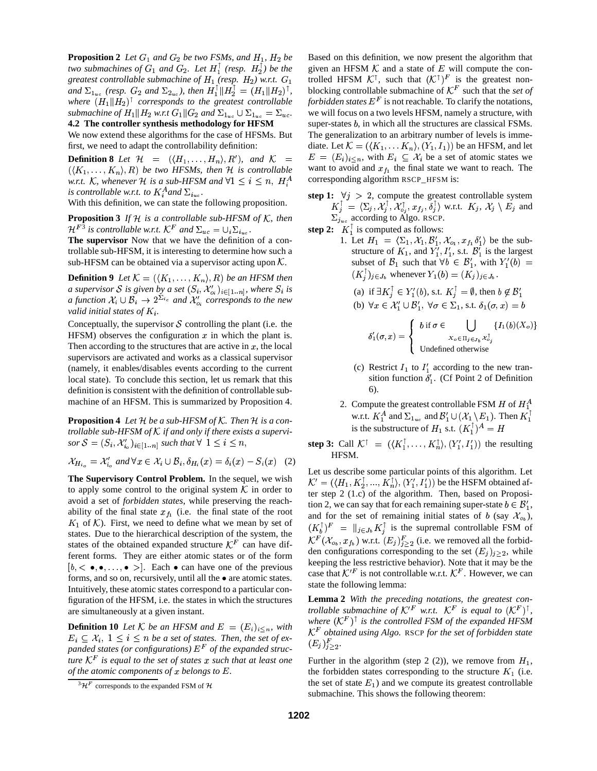**Proposition 2** Let  $G_1$  and  $G_2$  be two FSMs, and  $H_1$ ,  $H_2$  be *two submachines of*  $G_1$  *and*  $G_2$ *. Let*  $H_1^{\perp}$  (resp.  $H_2^{\perp}$ ) be the *greatest controllable submachine of*  $H_1$  (resp.  $H_2$ ) w.r.t.  $G_1$ and  $\Sigma_{1_{nc}}$  (resp.  $G_2$  and  $\Sigma_{2_{nc}}$ ), then  $H_1^{\dagger}$   $\|H_2^{\dagger} = (H_1 \| H_2)^{\dagger}$ , bl where  $(H_1 \| H_2)^\dagger$  *corresponds to the greatest controllable submachine of*  $H_1 || H_2 w.r.t G_1 || G_2 and \Sigma_{1uc} \cup \Sigma_{1uc} = \Sigma_{uc}$ . **4.2 The controller synthesis methodology for HFSM**

We now extend these algorithms for the case of HFSMs. But first, we need to adapt the controllability definition:

**Definition 8** Let  $\mathcal{H}$  =  $(\langle H_1, \ldots, H_n \rangle, R')$ , and  $\mathcal{K}$  =  $E = (E_i)_i$  $(X_1, \ldots, K_n)$ , R *be* two HFSMs, then H is controllable *w.r.t.* K, whenever  $H$  is a sub-HFSM and  $\forall 1 \leq i \leq n$ ,  $H_i^A$  con *is controllable w.r.t. to*  $K_i^A$  *and*  $\Sigma_{i_{nc}}$ *.* 

With this definition, we can state the following proposition.

**Proposition 3** If  $H$  is a controllable sub-HFSM of  $K$ , then . . . . . . . . . . . . . . .  $F^3$  is controllable w.r.t.  $\mathcal{K}^F$  and  $\Sigma_{uc} = \cup_i \Sigma_{i_{uc}}$ .

**The supervisor** Now that we have the definition of a controllable sub-HFSM, it is interesting to determine how such a sub-HFSM can be obtained via a supervisor acting upon  $K$ .

**Definition 9** Let  $\mathcal{K} = (\langle K_1, \ldots, K_n \rangle, R)$  be an HFSM then *a* supervisor S is given by a set  $(S_i, \mathcal{X}'_{o_i})_{i \in [1..n]}$ , where  $S_i$  is *a* function  $\mathcal{X}_i \cup \mathcal{B}_i \to 2^{\sum_{i} c_i}$  and  $\mathcal{X}'_o$  corresponds to the new *valid initial states of*  $K_i$ .

Conceptually, the supervisor  $S$  controlling the plant (i.e. the HFSM) observes the configuration  $x$  in which the plant is. Then according to the structures that are active in  $x$ , the local supervisors are activated and works as a classical supervisor (namely, it enables/disables events according to the current local state). To conclude this section, let us remark that this definition is consistent with the definition of controllable submachine of an HFSM. This is summarized by Proposition 4.

**Proposition 4** Let  $H$  be a sub-HFSM of  $K$ . Then  $H$  is a con*trollable sub-HFSM of*  $K$  *if and only if there exists a supervi* $s$ *or*  $\mathcal{S} = (S_i, \mathcal{X}'_i)_{i \in [1..n]}$  such that  $\forall$   $1 \leq i \leq n$ ,

$$
\mathcal{X}_{H_{i_o}} = \mathcal{X}'_{i_o} \text{ and } \forall x \in \mathcal{X}_i \cup \mathcal{B}_i, \delta_{H_i}(x) = \delta_i(x) - S_i(x) \quad (2)
$$

**The Supervisory Control Problem.** In the sequel, we wish to apply some control to the original system  $\mathcal K$  in order to avoid a set of *forbidden states*, while preserving the reachability of the final state  $x_{f_1}$  (i.e. the final state of the root  $K_1$  of  $K$ ). First, we need to define what we mean by set of states. Due to the hierarchical description of the system, the states of the obtained expanded structure  $\mathcal{K}^F$  can have different forms. They are either atomic states or of the form  $[b, \langle \bullet, \bullet, \ldots, \bullet \rangle]$ . Each  $\bullet$  can have one of the previous forms, and so on, recursively, until all the  $\bullet$  are atomic states. Intuitively, these atomic states correspond to a particular configuration of the HFSM, i.e. the states in which the structures are simultaneously at a given instant.

**Definition 10** Let K be an HFSM and  $E = (E_i)_{i \le n}$ , with  $E_i \subseteq \mathcal{X}_i$ ,  $1 \leq i \leq n$  *be a set of states. Then, the set of ex*panded states (or configurations)  $E^F$  of the expanded struc*ture*  $K^F$  *is equal to the set of states*  $x$  *such that at least one of the atomic components of*  $x$  *belongs* to  $E$ .

Based on this definition, we now present the algorithm that given an HFSM  $K$  and a state of  $E$  will compute the controlled HFSM  $\mathcal{K}^{\dagger}$ , such that  $(\mathcal{K}^{\dagger})^F$  is the greatest nonblocking controllable submachine of  $\mathcal{K}^F$  such that the *set of forbidden states*  $E^F$  is not reachable. To clarify the notations, we will focus on a two levels HFSM, namely a structure, with super-states  $b$ , in which all the structures are classical FSMs. The generalization to an arbitrary number of levels is immediate. Let  $\mathcal{K} = (\langle K_1, \ldots K_n \rangle, (Y_1, I_1))$  be an HFSM, and let  $E = (E_i)_{i \leq n}$ , with  $E_i \subseteq \mathcal{X}_i$  be a set of atomic states we want to avoid and  $x_{f_1}$  the final state we want to reach. The corresponding algorithm RSCP\_HFSM is:

**step 1:**  $\forall j > 2$ , compute the greatest controllable system  $K_i^{\perp} = \langle \Sigma_i, \mathcal{X}_i^{\perp}, \mathcal{X}_{o_i}^{\uparrow}, x_{f_i}, \delta_i^{\perp} \rangle$  w.r.t.  $K_i, \mathcal{X}_i \setminus E_i$  and  $\Sigma_{i_{\text{uc}}}$  according to Algo. RSCP.

**step 2:**  $K_1^{\perp}$  is computed as follows:

1. Let  $H_1 = \langle \Sigma_1, \mathcal{X}_1, \mathcal{B}_1', \mathcal{X}_{o_1}, x_{f_1} \delta_1' \rangle$  be the substructure of  $K_1$ , and  $Y'_1$ ,  $I'_1$ , s.t.  $\mathcal{B}'_1$  is the largest subset of  $\mathcal{B}_1$  such that  $\forall b \in \mathcal{B}'_1$ , with  $Y'_1(b) =$  $(K_i^{\dagger})_{i \in J_b}$  whenever  $Y_1(b) = (K_i)_{i \in J_b}$ .

(a) if 
$$
\exists K_j^{\perp} \in Y_1'(b)
$$
, s.t.  $K_j^{\perp} = \emptyset$ , then  $b \notin B_1'$   
(b)  $\forall x \in \mathcal{X}_1' \cup \mathcal{B}_1', \forall \sigma \in \Sigma_1$ , s.t.  $\delta_1(\sigma, x) = b$ 

$$
\delta'_1(\sigma, x) = \begin{cases} b \text{ if } \sigma \in \bigcup_{X_o \in \Pi_j \in J_b} \{I_1(b)(X_o)\} \\ x_o \in \Pi_j \in J_b \mathcal{X}_{o_j}^{\dagger} \\ \text{Undefined otherwise} \end{cases}
$$

- (c) Restrict  $I_1$  to  $I'_1$  according to the new transition function  $\delta_1'$ . (Cf Point 2 of Definition 6).
- 2. Compute the greatest controllable FSM  $H$  of  $H_1^A$ w.r.t.  $K_1^A$  and  $\Sigma_{1_{nc}}$  and  $\mathcal{B}'_1 \cup (\mathcal{X}_1 \setminus E_1)$ . Then  $K_1^{\perp}$  $\blacksquare$  . The contract of the contract of the contract of the contract of the contract of the contract of the contract of the contract of the contract of the contract of the contract of the contract of the contract of the is the substructure of  $H_1$  s.t.  $(K_1^{\perp})^A = H$
- **step 3:** Call  $K^{\dagger} = (\langle K_1^{\dagger}, \ldots, K_n^{\dagger} \rangle, (Y_1', I_1'))$  the resulting HFSM.

Let us describe some particular points of this algorithm. Let  $\mathcal{K}' = (\langle H_1, K_2^{\dagger}, ..., K_n^{\dagger} \rangle, (Y_1', I_1'))$  be the HSFM obtained after step 2 (1.c) of the algorithm. Then, based on Proposition 2, we can say that for each remaining super-state  $b \in \mathcal{B}'_1$ , and for the set of remaining initial states of b (say  $\mathcal{X}_{o_h}$ ),  $(K_h^{\top})^F = ||_{i \in J_h} K_i^{\top}$  is the supremal controllable FSM of <sup>c</sup>  $F(\mathcal{X}_{o_h}, x_{f_h})$  w.r.t.  $(E_i)_{i>2}^F$  (i.e. we removed all the forbidden configurations corresponding to the set  $(E_i)_{i>2}$ , while keeping the less restrictive behavior). Note that it may be the case that  $\mathcal{K}'^F$  is not controllable w.r.t.  $\mathcal{K}^F$ . However, we can state the following lemma:

**Lemma 2** *With the preceding notations, the greatest controllable submachine of*  $K^{\prime F}$  w.r.t.  $K^F$  *is equal to*  $(K^F)^{\dagger}$ , where  $(K^F)$ <sup> $\uparrow$ </sup> is the controlled FSM of the expanded HFSM <sup>c</sup> - *obtained using Algo.* RSCP *for the set of forbidden state*  $(E_i)_{i>2}^F$ .

Further in the algorithm (step 2 (2)), we remove from  $H_1$ , the forbidden states corresponding to the structure  $K_1$  (i.e. the set of state  $E_1$ ) and we compute its greatest controllable submachine. This shows the following theorem:

 ${}^{3}\mathcal{H}^{F}$  corresponds to the expanded FSM of  $\mathcal{H}$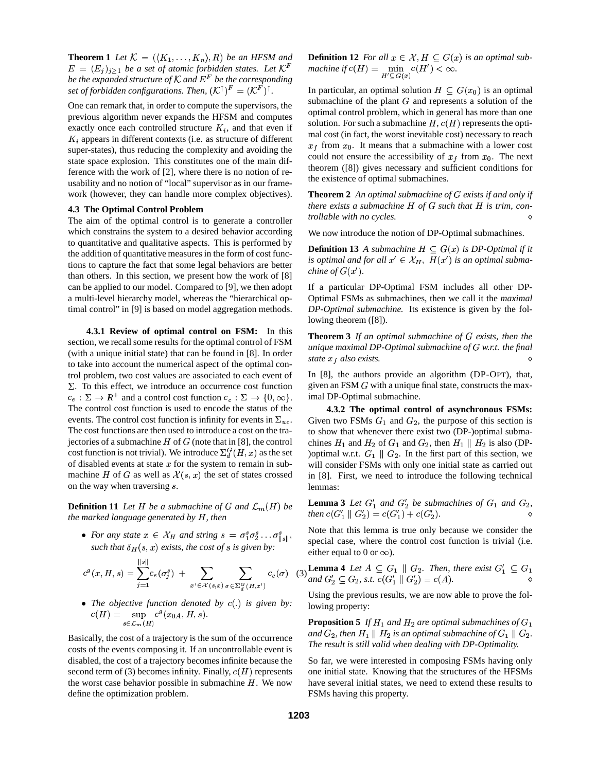**Theorem 1** Let  $\mathcal{K} = (\langle K_1, \ldots, K_n \rangle, R)$  be an HFSM and  $E = (E_i)_{i \geq 1}$  be a set of atomic forbidden states. Let  $\mathcal{K}^F$  machine if *be the expanded structure of*  $\mathcal K$  *and*  $E^F$  *be the corresponding set of forbidden configurations. Then,*  $(K^{\uparrow})^F = (K^F)^{\uparrow}$ . In  $(F)$ <sup> $\uparrow$ </sup>.

One can remark that, in order to compute the supervisors, the previous algorithm never expands the HFSM and computes exactly once each controlled structure  $K_i$ , and that even if  $K_i$  appears in different contexts (i.e. as structure of different super-states), thus reducing the complexity and avoiding the state space explosion. This constitutes one of the main difference with the work of [2], where there is no notion of reusability and no notion of "local" supervisor as in our framework (however, they can handle more complex objectives).

#### **4.3 The Optimal Control Problem**

The aim of the optimal control is to generate a controller which constrains the system to a desired behavior according to quantitative and qualitative aspects. This is performed by the addition of quantitative measures in the form of cost functions to capture the fact that some legal behaviors are better than others. In this section, we present how the work of [8] can be applied to our model. Compared to [9], we then adopt a multi-level hierarchy model, whereas the "hierarchical optimal control" in [9] is based on model aggregation methods.

**4.3.1 Review of optimal control on FSM:** In this section, we recall some results for the optimal control of FSM (with a unique initial state) that can be found in [8]. In order to take into account the numerical aspect of the optimal control problem, two cost values are associated to each event of  $\Sigma$ . To this effect, we introduce an occurrence cost function  $c_e : \Sigma \to \mathbb{R}^+$  and a control cost function  $c_c : \Sigma \to \{0, \infty\}.$  ima The control cost function is used to encode the status of the events. The control cost function is infinity for events in  $\Sigma_{uc}$ . The cost functions are then used to introduce a cost on the trajectories of a submachine  $H$  of  $G$  (note that in [8], the control cost function is not trivial). We introduce  $\Sigma_d^G(H, x)$  as the set of disabled events at state  $x$  for the system to remain in submachine H of G as well as  $\mathcal{X}(s, x)$  the set of states crossed on the way when traversing  $s$ .

**Definition 11** Let H be a submachine of G and  $\mathcal{L}_m(H)$  be *the marked language generated by* <sup>M</sup>*, then*

• For any state  $x \in \mathcal{X}_H$  and string  $s = \sigma_1^s \sigma_2^s \dots \sigma_{\|\phi\|}^s$ , such that  $\delta_H(s, x)$  exists, the cost of s is given by:

$$
c^g(x, H, s) = \sum_{j=1}^{\|s\|} c_e(\sigma_j^s) + \sum_{x' \in \mathcal{X}(s, x)} \sum_{\sigma \in \Sigma_d^G(H, x')} c_c(\sigma) \quad (3) \frac{\text{Lemm}}{\text{and } G}
$$

• The *objective* function denoted by  $c(.)$  is given by:  $c(H) = \sup_{x \in H_1} c^s(x_{0A}, H, s).$  $s \in \mathcal{L}_m(H)$ 

Basically, the cost of a trajectory is the sum of the occurrence costs of the events composing it. If an uncontrollable event is disabled, the cost of a trajectory becomes infinite because the second term of (3) becomes infinity. Finally,  $c(H)$  represents the worst case behavior possible in submachine  $H$ . We now define the optimization problem.

 $machine$  *if*  $c(H) = \min_{H' \subseteq G(x)} c(H') < \infty$ . **Definition 12** For all  $x \in \mathcal{X}, H \subseteq G(x)$  is an optimal sub-

In particular, an optimal solution  $H \subseteq G(x_0)$  is an optimal submachine of the plant  $G$  and represents a solution of the optimal control problem, which in general has more than one solution. For such a submachine  $H$ ,  $c(H)$  represents the optimal cost (in fact, the worst inevitable cost) necessary to reach  $x_f$  from  $x_0$ . It means that a submachine with a lower cost could not ensure the accessibility of  $x_f$  from  $x_0$ . The next theorem ([8]) gives necessary and sufficient conditions for the existence of optimal submachines.

**Theorem 2** *An optimal submachine of exists if and only if there exists* a *submachine*  $H$  *of*  $G$  *such that*  $H$  *is trim, controllable with no cycles.* ,

We now introduce the notion of DP-Optimal submachines.

**Definition 13** *A submachine*  $H \subseteq G(x)$  *is DP-Optimal if it* is optimal and for all  $x' \in \mathcal{X}_H$ ,  $H(x')$  is an optimal subma*chine of*  $G(x')$ *.* 

If a particular DP-Optimal FSM includes all other DP-Optimal FSMs as submachines, then we call it the *maximal DP-Optimal submachine.* Its existence is given by the following theorem ([8]).

**Theorem 3** *If an optimal submachine of exists, then the unique maximal DP-Optimal submachine of w.r.t. the final state*  $x_f$  *also exists.* 

In [8], the authors provide an algorithm (DP-OPT), that, given an FSM  $G$  with a unique final state, constructs the maximal DP-Optimal submachine.

**4.3.2 The optimal control of asynchronous FSMs:** Given two FSMs  $G_1$  and  $G_2$ , the purpose of this section is to show that whenever there exist two (DP-)optimal submachines  $H_1$  and  $H_2$  of  $G_1$  and  $G_2$ , then  $H_1 \parallel H_2$  is also (DP-)optimal w.r.t.  $G_1 \parallel G_2$ . In the first part of this section, we will consider FSMs with only one initial state as carried out in [8]. First, we need to introduce the following technical lemmas:

**Lemma 3** Let  $G'_1$  and  $G'_2$  be submachines of  $G_1$  and  $G_2$ , *then*  $c(G'_1 \parallel G'_2) = c(G'_1) + c(G'_2)$ .

 $s\|$ <sup>s</sup> special case, where the control cost function is trivial (i.e. Note that this lemma is true only because we consider the either equal to 0 or  $\infty$ ).

$$
\sum_{G \in \mathcal{F}} c_G(\sigma) \quad (3) \quad \text{Lemma 4} \quad Let \ A \subseteq G_1 \parallel G_2. \ \text{Then, there exist } G'_1 \subseteq G_1
$$
\n
$$
\text{and } G'_2 \subseteq G_2 \text{, s.t. } c(G'_1 \parallel G'_2) = c(A).
$$

Using the previous results, we are now able to prove the following property:

**Proposition 5** If  $H_1$  and  $H_2$  are optimal submachines of  $G_1$ and  $G_2$ , then  $H_1 \parallel H_2$  is an optimal submachine of  $G_1 \parallel G_2$ . *The result is still valid when dealing with DP-Optimality.*

So far, we were interested in composing FSMs having only one initial state. Knowing that the structures of the HFSMs have several initial states, we need to extend these results to FSMs having this property.